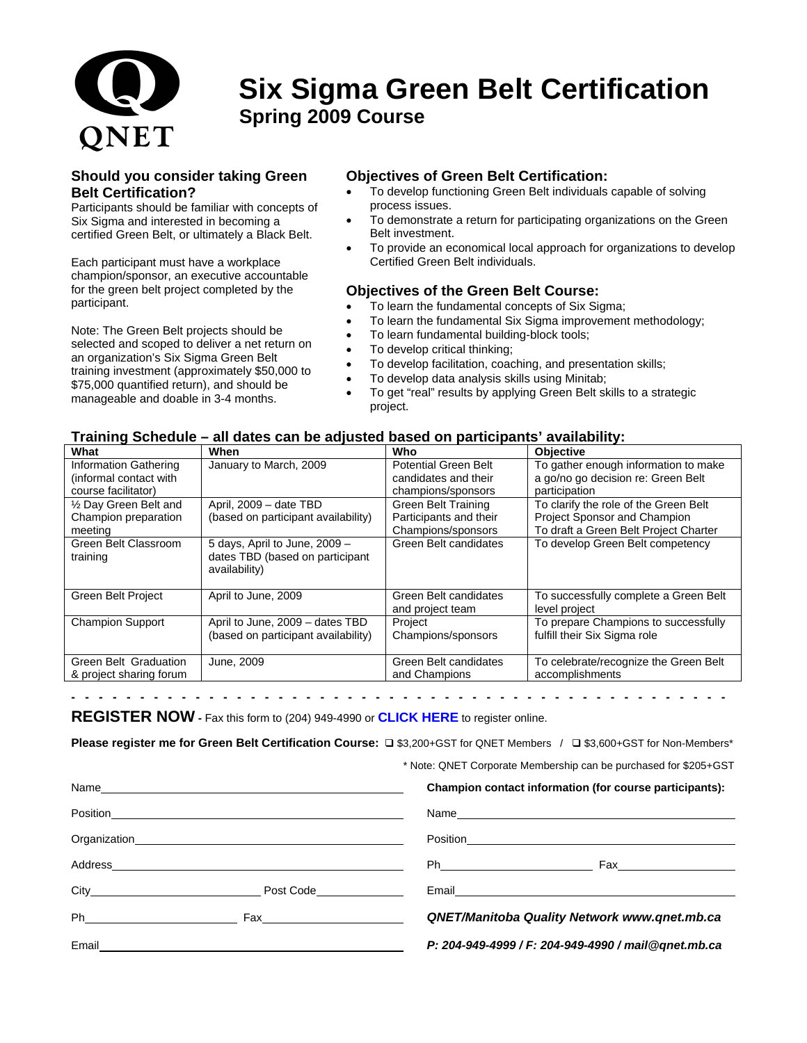

## **Six Sigma Green Belt Certification Spring 2009 Course**

#### **Should you consider taking Green Belt Certification?**

Participants should be familiar with concepts of Six Sigma and interested in becoming a certified Green Belt, or ultimately a Black Belt.

Each participant must have a workplace champion/sponsor, an executive accountable for the green belt project completed by the participant.

Note: The Green Belt projects should be selected and scoped to deliver a net return on an organization's Six Sigma Green Belt training investment (approximately \$50,000 to \$75,000 quantified return), and should be manageable and doable in 3-4 months.

#### **Objectives of Green Belt Certification:**

- To develop functioning Green Belt individuals capable of solving process issues.
- To demonstrate a return for participating organizations on the Green Belt investment.
- To provide an economical local approach for organizations to develop Certified Green Belt individuals.

#### **Objectives of the Green Belt Course:**

- To learn the fundamental concepts of Six Sigma;
- To learn the fundamental Six Sigma improvement methodology;
- To learn fundamental building-block tools;
- To develop critical thinking;
- To develop facilitation, coaching, and presentation skills;
- To develop data analysis skills using Minitab;
- To get "real" results by applying Green Belt skills to a strategic project.

#### **Training Schedule – all dates can be adjusted based on participants' availability:**

| What                                                                   | When                                                                              | Who                                                                        | <b>Objective</b>                                                                                                      |
|------------------------------------------------------------------------|-----------------------------------------------------------------------------------|----------------------------------------------------------------------------|-----------------------------------------------------------------------------------------------------------------------|
| Information Gathering<br>(informal contact with<br>course facilitator) | January to March, 2009                                                            | <b>Potential Green Belt</b><br>candidates and their<br>champions/sponsors  | To gather enough information to make<br>a go/no go decision re: Green Belt<br>participation                           |
| 1/2 Day Green Belt and<br>Champion preparation<br>meeting              | April, 2009 - date TBD<br>(based on participant availability)                     | <b>Green Belt Training</b><br>Participants and their<br>Champions/sponsors | To clarify the role of the Green Belt<br><b>Project Sponsor and Champion</b><br>To draft a Green Belt Project Charter |
| Green Belt Classroom<br>training                                       | 5 days, April to June, 2009 -<br>dates TBD (based on participant<br>availability) | Green Belt candidates                                                      | To develop Green Belt competency                                                                                      |
| Green Belt Project                                                     | April to June, 2009                                                               | Green Belt candidates<br>and project team                                  | To successfully complete a Green Belt<br>level project                                                                |
| <b>Champion Support</b>                                                | April to June, 2009 - dates TBD<br>(based on participant availability)            | Project<br>Champions/sponsors                                              | To prepare Champions to successfully<br>fulfill their Six Sigma role                                                  |
| Green Belt Graduation<br>& project sharing forum                       | June, 2009                                                                        | Green Belt candidates<br>and Champions                                     | To celebrate/recognize the Green Belt<br>accomplishments                                                              |

**- - - - - - - - - - - - - - - - - - - - - - - - - - - - - - - - - - - - - - - - - - - - - - - -** 

**REGISTER NOW -** Fax this form to (204) 949-4990 or **[CLICK HERE](http://www.qnet.mb.ca/events2003/regform.htm)** to register online.

**Please register me for Green Belt Certification Course:**  $\Box$  \$3,200+GST for QNET Members /  $\Box$  \$3,600+GST for Non-Members\*

\* Note: QNET Corporate Membership can be purchased for \$205+GST

|       |                                                                                                                       | Champion contact information (for course participants):                                                                                                                                                                              |  |
|-------|-----------------------------------------------------------------------------------------------------------------------|--------------------------------------------------------------------------------------------------------------------------------------------------------------------------------------------------------------------------------------|--|
|       |                                                                                                                       | Name and the state of the state of the state of the state of the state of the state of the state of the state of the state of the state of the state of the state of the state of the state of the state of the state of the s       |  |
|       |                                                                                                                       | Position <b>Provides and Contract Contract of the Contract Contract Contract Contract Contract Contract Contract Contract Contract Contract Contract Contract Contract Contract Contract Contract Contract Contract Contract Con</b> |  |
|       |                                                                                                                       |                                                                                                                                                                                                                                      |  |
|       | Post Code <b>Communist Communist Code</b>                                                                             | Email <b>Executive Contract Contract Contract Contract Contract Contract Contract Contract Contract Contract Contract Contract Contract Contract Contract Contract Contract Contract Contract Contract Contract Contract Contrac</b> |  |
|       |                                                                                                                       | <b>QNET/Manitoba Quality Network www.qnet.mb.ca</b>                                                                                                                                                                                  |  |
| Email | <u> 1989 - Andrea Barbara, amerikan personal dan personal dan personal dan personal dan personal dan personal dan</u> | P: 204-949-4999 / F: 204-949-4990 / mail@gnet.mb.ca                                                                                                                                                                                  |  |